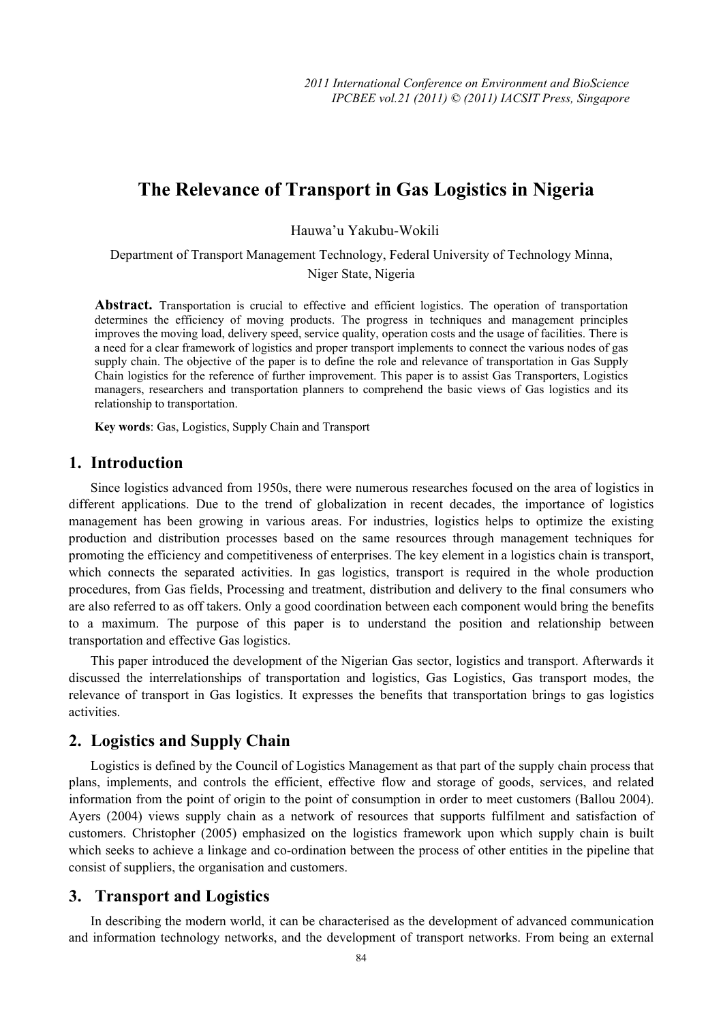# **The Relevance of Transport in Gas Logistics in Nigeria**

Hauwa'u Yakubu-Wokili

Department of Transport Management Technology, Federal University of Technology Minna,

Niger State, Nigeria

Abstract. Transportation is crucial to effective and efficient logistics. The operation of transportation determines the efficiency of moving products. The progress in techniques and management principles improves the moving load, delivery speed, service quality, operation costs and the usage of facilities. There is a need for a clear framework of logistics and proper transport implements to connect the various nodes of gas supply chain. The objective of the paper is to define the role and relevance of transportation in Gas Supply Chain logistics for the reference of further improvement. This paper is to assist Gas Transporters, Logistics managers, researchers and transportation planners to comprehend the basic views of Gas logistics and its relationship to transportation.

**Key words**: Gas, Logistics, Supply Chain and Transport

#### **1. Introduction**

Since logistics advanced from 1950s, there were numerous researches focused on the area of logistics in different applications. Due to the trend of globalization in recent decades, the importance of logistics management has been growing in various areas. For industries, logistics helps to optimize the existing production and distribution processes based on the same resources through management techniques for promoting the efficiency and competitiveness of enterprises. The key element in a logistics chain is transport, which connects the separated activities. In gas logistics, transport is required in the whole production procedures, from Gas fields, Processing and treatment, distribution and delivery to the final consumers who are also referred to as off takers. Only a good coordination between each component would bring the benefits to a maximum. The purpose of this paper is to understand the position and relationship between transportation and effective Gas logistics.

This paper introduced the development of the Nigerian Gas sector, logistics and transport. Afterwards it discussed the interrelationships of transportation and logistics, Gas Logistics, Gas transport modes, the relevance of transport in Gas logistics. It expresses the benefits that transportation brings to gas logistics activities.

### **2. Logistics and Supply Chain**

Logistics is defined by the Council of Logistics Management as that part of the supply chain process that plans, implements, and controls the efficient, effective flow and storage of goods, services, and related information from the point of origin to the point of consumption in order to meet customers (Ballou 2004). Ayers (2004) views supply chain as a network of resources that supports fulfilment and satisfaction of customers. Christopher (2005) emphasized on the logistics framework upon which supply chain is built which seeks to achieve a linkage and co-ordination between the process of other entities in the pipeline that consist of suppliers, the organisation and customers.

### **3. Transport and Logistics**

In describing the modern world, it can be characterised as the development of advanced communication and information technology networks, and the development of transport networks. From being an external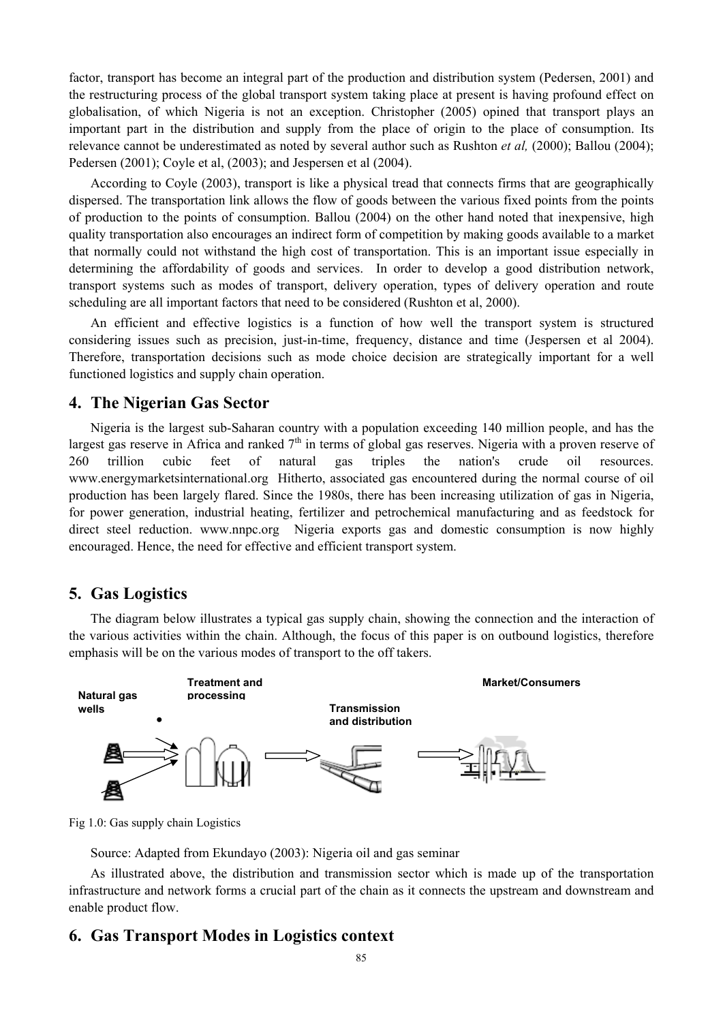factor, transport has become an integral part of the production and distribution system (Pedersen, 2001) and the restructuring process of the global transport system taking place at present is having profound effect on globalisation, of which Nigeria is not an exception. Christopher (2005) opined that transport plays an important part in the distribution and supply from the place of origin to the place of consumption. Its relevance cannot be underestimated as noted by several author such as Rushton *et al,* (2000); Ballou (2004); Pedersen (2001); Coyle et al, (2003); and Jespersen et al (2004).

According to Coyle (2003), transport is like a physical tread that connects firms that are geographically dispersed. The transportation link allows the flow of goods between the various fixed points from the points of production to the points of consumption. Ballou (2004) on the other hand noted that inexpensive, high quality transportation also encourages an indirect form of competition by making goods available to a market that normally could not withstand the high cost of transportation. This is an important issue especially in determining the affordability of goods and services. In order to develop a good distribution network, transport systems such as modes of transport, delivery operation, types of delivery operation and route scheduling are all important factors that need to be considered (Rushton et al, 2000).

An efficient and effective logistics is a function of how well the transport system is structured considering issues such as precision, just-in-time, frequency, distance and time (Jespersen et al 2004). Therefore, transportation decisions such as mode choice decision are strategically important for a well functioned logistics and supply chain operation.

### **4. The Nigerian Gas Sector**

Nigeria is the largest sub-Saharan country with a population exceeding 140 million people, and has the largest gas reserve in Africa and ranked  $7<sup>th</sup>$  in terms of global gas reserves. Nigeria with a proven reserve of 260 trillion cubic feet of natural gas triples the nation's crude oil resources. www.energymarketsinternational.org Hitherto, associated gas encountered during the normal course of oil production has been largely flared. Since the 1980s, there has been increasing utilization of gas in Nigeria, for power generation, industrial heating, fertilizer and petrochemical manufacturing and as feedstock for direct steel reduction. www.nnpc.org Nigeria exports gas and domestic consumption is now highly encouraged. Hence, the need for effective and efficient transport system.

### **5. Gas Logistics**

The diagram below illustrates a typical gas supply chain, showing the connection and the interaction of the various activities within the chain. Although, the focus of this paper is on outbound logistics, therefore emphasis will be on the various modes of transport to the off takers.



Fig 1.0: Gas supply chain Logistics

Source: Adapted from Ekundayo (2003): Nigeria oil and gas seminar

As illustrated above, the distribution and transmission sector which is made up of the transportation infrastructure and network forms a crucial part of the chain as it connects the upstream and downstream and enable product flow.

## **6. Gas Transport Modes in Logistics context**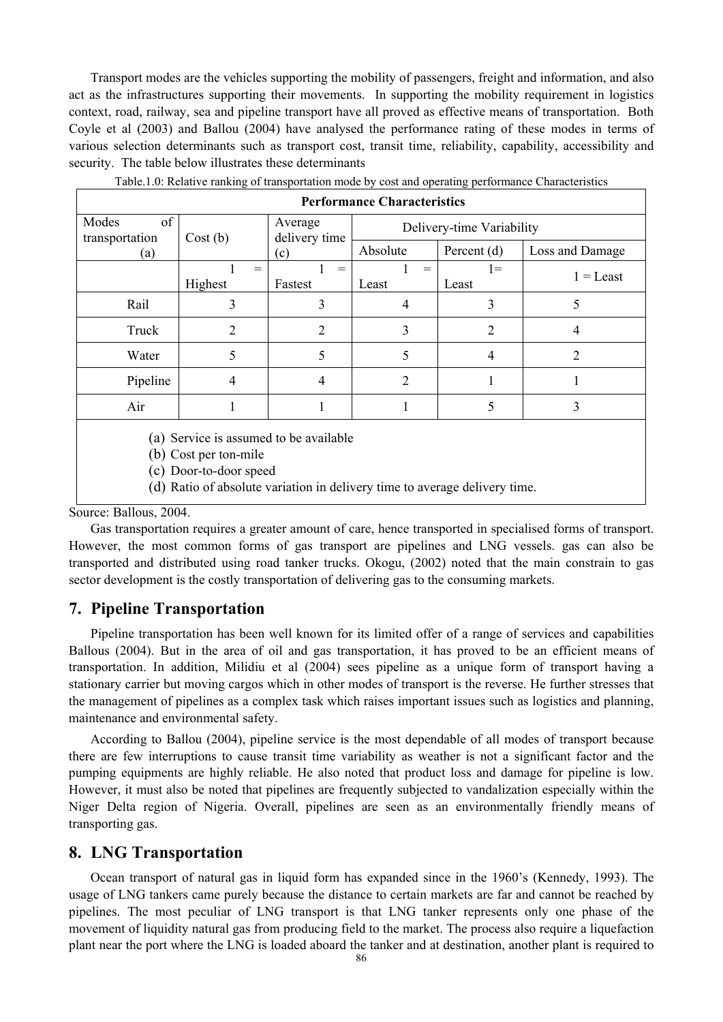Transport modes are the vehicles supporting the mobility of passengers, freight and information, and also act as the infrastructures supporting their movements. In supporting the mobility requirement in logistics context, road, railway, sea and pipeline transport have all proved as effective means of transportation. Both Coyle et al (2003) and Ballou (2004) have analysed the performance rating of these modes in terms of various selection determinants such as transport cost, transit time, reliability, capability, accessibility and security. The table below illustrates these determinants

| <b>Performance Characteristics</b>     |                |                                 |                           |                |                 |
|----------------------------------------|----------------|---------------------------------|---------------------------|----------------|-----------------|
| of<br>Modes<br>transportation          | Cost(b)        | Average<br>delivery time<br>(c) | Delivery-time Variability |                |                 |
| (a)                                    |                |                                 | Absolute                  | Percent (d)    | Loss and Damage |
|                                        | $=$<br>Highest | $=$<br>Fastest                  | $=$<br>Least              | $=$<br>Least   | $1 =$ Least     |
| Rail                                   | 3              | 3                               | 4                         | 3              | 5               |
| Truck                                  | 2              | 2                               | 3                         | 2              | 4               |
| Water                                  | 5              | 5                               |                           | $\overline{4}$ | 2               |
| Pipeline                               | $\overline{4}$ | 4                               | 2                         |                |                 |
| Air                                    |                |                                 |                           | 5              | 3               |
| (a) Service is assumed to be available |                |                                 |                           |                |                 |

Table.1.0: Relative ranking of transportation mode by cost and operating performance Characteristics

٦

(b) Cost per ton-mile

(c) Door-to-door speed

(d) Ratio of absolute variation in delivery time to average delivery time.

Source: Ballous, 2004.

Gas transportation requires a greater amount of care, hence transported in specialised forms of transport. However, the most common forms of gas transport are pipelines and LNG vessels. gas can also be transported and distributed using road tanker trucks. Okogu, (2002) noted that the main constrain to gas sector development is the costly transportation of delivering gas to the consuming markets.

### **7. Pipeline Transportation**

Pipeline transportation has been well known for its limited offer of a range of services and capabilities Ballous (2004). But in the area of oil and gas transportation, it has proved to be an efficient means of transportation. In addition, Milidiu et al (2004) sees pipeline as a unique form of transport having a stationary carrier but moving cargos which in other modes of transport is the reverse. He further stresses that the management of pipelines as a complex task which raises important issues such as logistics and planning, maintenance and environmental safety.

According to Ballou (2004), pipeline service is the most dependable of all modes of transport because there are few interruptions to cause transit time variability as weather is not a significant factor and the pumping equipments are highly reliable. He also noted that product loss and damage for pipeline is low. However, it must also be noted that pipelines are frequently subjected to vandalization especially within the Niger Delta region of Nigeria. Overall, pipelines are seen as an environmentally friendly means of transporting gas.

### **8. LNG Transportation**

Ocean transport of natural gas in liquid form has expanded since in the 1960's (Kennedy, 1993). The usage of LNG tankers came purely because the distance to certain markets are far and cannot be reached by pipelines. The most peculiar of LNG transport is that LNG tanker represents only one phase of the movement of liquidity natural gas from producing field to the market. The process also require a liquefaction plant near the port where the LNG is loaded aboard the tanker and at destination, another plant is required to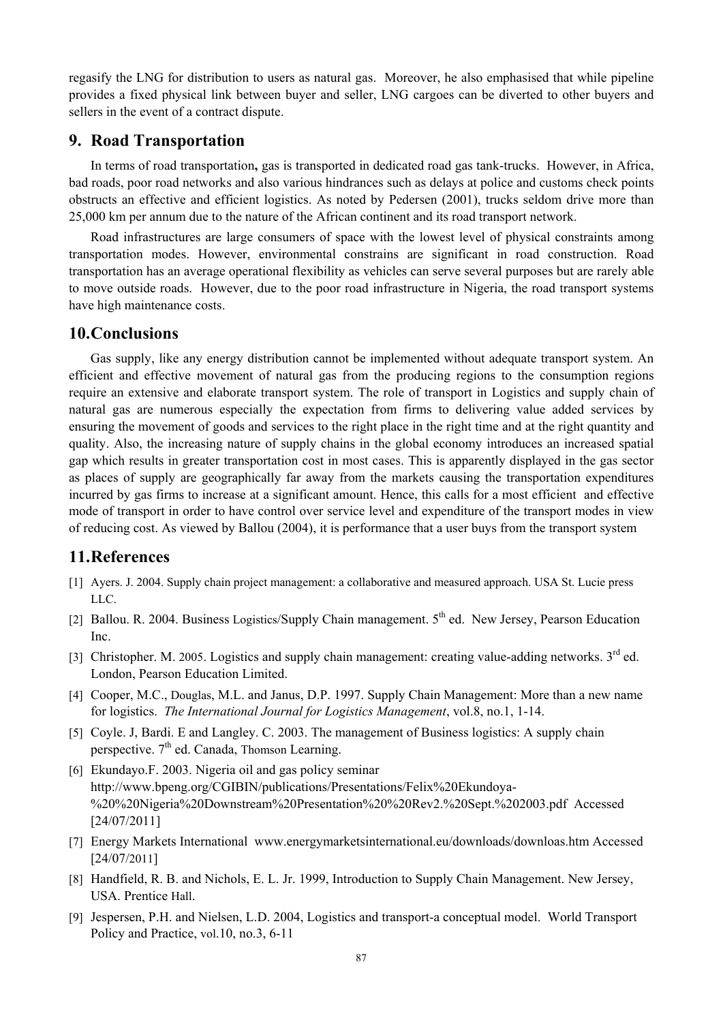regasify the LNG for distribution to users as natural gas. Moreover, he also emphasised that while pipeline provides a fixed physical link between buyer and seller, LNG cargoes can be diverted to other buyers and sellers in the event of a contract dispute.

### **9. Road Transportation**

In terms of road transportation**,** gas is transported in dedicated road gas tank-trucks. However, in Africa, bad roads, poor road networks and also various hindrances such as delays at police and customs check points obstructs an effective and efficient logistics. As noted by Pedersen (2001), trucks seldom drive more than 25,000 km per annum due to the nature of the African continent and its road transport network.

Road infrastructures are large consumers of space with the lowest level of physical constraints among transportation modes. However, environmental constrains are significant in road construction. Road transportation has an average operational flexibility as vehicles can serve several purposes but are rarely able to move outside roads. However, due to the poor road infrastructure in Nigeria, the road transport systems have high maintenance costs.

### **10.Conclusions**

Gas supply, like any energy distribution cannot be implemented without adequate transport system. An efficient and effective movement of natural gas from the producing regions to the consumption regions require an extensive and elaborate transport system. The role of transport in Logistics and supply chain of natural gas are numerous especially the expectation from firms to delivering value added services by ensuring the movement of goods and services to the right place in the right time and at the right quantity and quality. Also, the increasing nature of supply chains in the global economy introduces an increased spatial gap which results in greater transportation cost in most cases. This is apparently displayed in the gas sector as places of supply are geographically far away from the markets causing the transportation expenditures incurred by gas firms to increase at a significant amount. Hence, this calls for a most efficient and effective mode of transport in order to have control over service level and expenditure of the transport modes in view of reducing cost. As viewed by Ballou (2004), it is performance that a user buys from the transport system

# **11.References**

- [1] Ayers. J. 2004. Supply chain project management: a collaborative and measured approach. USA St. Lucie press LLC.
- [2] Ballou. R. 2004. Business Logistics/Supply Chain management. 5<sup>th</sup> ed. New Jersey, Pearson Education Inc.
- [3] Christopher. M. 2005. Logistics and supply chain management: creating value-adding networks. 3<sup>rd</sup> ed. London, Pearson Education Limited.
- [4] Cooper, M.C., Douglas, M.L. and Janus, D.P. 1997. Supply Chain Management: More than a new name for logistics. *The International Journal for Logistics Management*, vol.8, no.1, 1-14.
- [5] Coyle. J, Bardi. E and Langley. C. 2003. The management of Business logistics: A supply chain perspective.  $7<sup>th</sup>$  ed. Canada, Thomson Learning.
- [6] Ekundayo.F. 2003. Nigeria oil and gas policy seminar http://www.bpeng.org/CGIBIN/publications/Presentations/Felix%20Ekundoya- %20%20Nigeria%20Downstream%20Presentation%20%20Rev2.%20Sept.%202003.pdf Accessed [24/07/2011]
- [7] Energy Markets International www.energymarketsinternational.eu/downloads/downloas.htm Accessed [24/07/2011]
- [8] Handfield, R. B. and Nichols, E. L. Jr. 1999, Introduction to Supply Chain Management. New Jersey, USA. Prentice Hall.
- [9] Jespersen, P.H. and Nielsen, L.D. 2004, Logistics and transport-a conceptual model. World Transport Policy and Practice, vol.10, no.3, 6-11